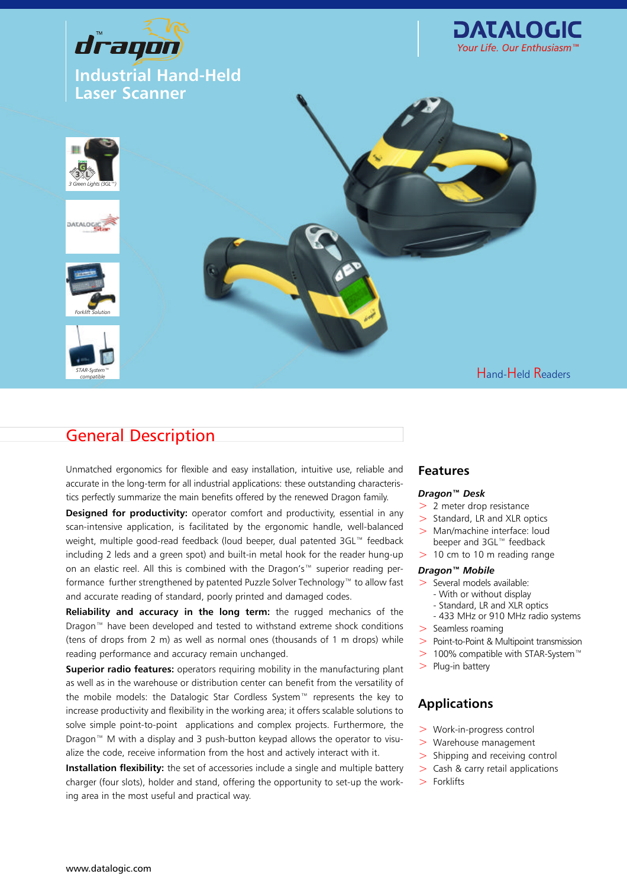

### Hand-Held Readers

## General Description

*STAR-System™ compatible*

Unmatched ergonomics for flexible and easy installation, intuitive use, reliable and accurate in the long-term for all industrial applications: these outstanding characteristics perfectly summarize the main benefits offered by the renewed Dragon family.

**Designed for productivity:** operator comfort and productivity, essential in any scan-intensive application, is facilitated by the ergonomic handle, well-balanced weight, multiple good-read feedback (loud beeper, dual patented 3GL™ feedback including 2 leds and a green spot) and built-in metal hook for the reader hung-up on an elastic reel. All this is combined with the Dragon's™ superior reading performance further strengthened by patented Puzzle Solver Technology™ to allow fast and accurate reading of standard, poorly printed and damaged codes.

**Reliability and accuracy in the long term:** the rugged mechanics of the Dragon™ have been developed and tested to withstand extreme shock conditions (tens of drops from 2 m) as well as normal ones (thousands of 1 m drops) while reading performance and accuracy remain unchanged.

**Superior radio features:** operators requiring mobility in the manufacturing plant as well as in the warehouse or distribution center can benefit from the versatility of the mobile models: the Datalogic Star Cordless System™ represents the key to increase productivity and flexibility in the working area; it offers scalable solutions to solve simple point-to-point applications and complex projects. Furthermore, the Dragon™ M with a display and 3 push-button keypad allows the operator to visualize the code, receive information from the host and actively interact with it.

**Installation flexibility:** the set of accessories include a single and multiple battery charger (four slots), holder and stand, offering the opportunity to set-up the working area in the most useful and practical way.

### **Features**

### *Dragon™ Desk*

- > 2 meter drop resistance
- > Standard, LR and XLR optics
- > Man/machine interface: loud beeper and 3GL™ feedback
- $> 10$  cm to 10 m reading range

### *Dragon™ Mobile*

- > Several models available:
	- With or without display
	- Standard, LR and XLR optics
	- 433 MHz or 910 MHz radio systems
- > Seamless roaming
- > Point-to-Point & Multipoint transmission
- > 100% compatible with STAR-System™
- $>$  Plug-in battery

### **Applications**

- > Work-in-progress control
- > Warehouse management
- > Shipping and receiving control
- > Cash & carry retail applications
- > Forklifts